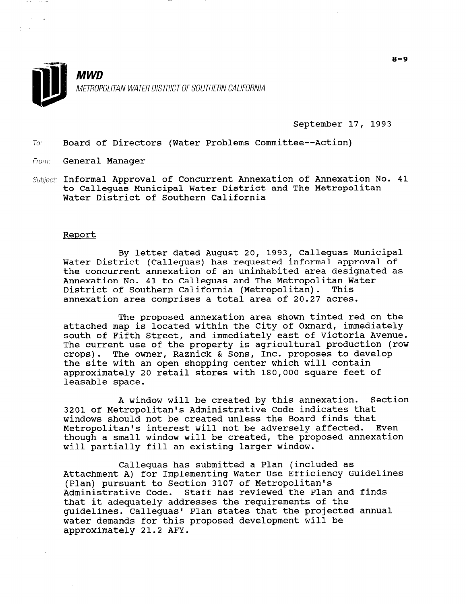

September 17, 1993

70: Board of Directors (Water Problems Committee--Action)

From: General Manager

Subject: Informal Approval of Concurrent Annexation of Annexation No. 41 to Calleguas Municipal Water District and The Metropolitan Water District of Southern California

#### Report

By letter dated August 20, 1993, Calleguas Municipal Water District (Calleguas) has requested informal approval of the concurrent annexation of an uninhabited area designated as Annexation No. 41 to Calleguas and The Metropolitan Water District of Southern California (Metropolitan). This annexation area comprises a total area of 20.27 acres.

The proposed annexation area shown tinted red on the attached map is located within the City of Oxnard, immediately south of Fifth Street, and immediately east of Victoria Avenue. The current use of the property is agricultural production (row crops). The owner, Raznick & Sons, Inc. proposes to develop the site with an open shopping center which will contain approximately 20 retail stores with 180,000 square feet of leasable space.

A window will be created by this annexation. Section 3201 of Metropolitan's Administrative Code indicates that windows should not be created unless the Board finds that Metropolitan's interest will not be adversely affected. Even though a small window will be created, the proposed annexation will partially fill an existing larger window.

Calleguas has submitted a Plan (included as Attachment A) for Implementing Water Use Efficiency Guidelines (Plan) pursuant to Section 3107 of Metropolitan's (Plan) pursuant to Section 3107 of Metropolitan's<br>Administrative Code. Staff has reviewed the Plan and finds AUMINISCIACIVE COUE. SCAIL HAS IEVIEWED CHE FIAN AN that it adequately addresses the requirements of the<br>widelines. Calleguas' Plan states that the projected annual quidelines. Callequas' Plan states that the projected annual water demands for this proposed development will be approximately 21.2 AFY.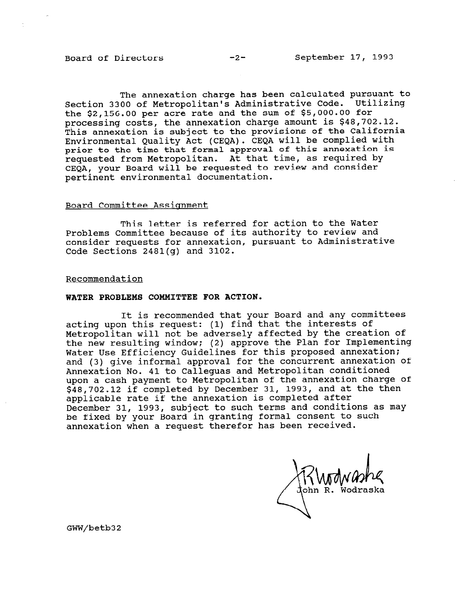The annexation charge has been calculated pursuant to Section 3300 of Metropolitan's Administrative Code. Utilizing the \$2,156.00 per acre rate and the sum of \$5,000.00 for processing costs, the annexation charge amount is \$48,702.12. This annexation is subject to the provisions of the California Environmental Quality Act (CEQA). CEQA will be complied with prior to the time that formal approval of this annexation is requested from Metropolitan. At that time, as required by CEOA, your Board will be requested to review and consider pertinent environmental documentation.

#### Board Committee Assiqnment

This letter is referred for action to the Water Problems Committee because of its authority to review and consider requests for annexation, pursuant to Administrative Code Sections 2481(g) and 3102.

#### Recommendation

#### WATER PROBLEMS COMMITTEE FOR ACTION.

It is recommended that your Board and any committees acting upon this request: (1) find that the interests of Metropolitan will not be adversely affected by the creation of the new resulting window; (2) approve the Plan for Implementing Water Use Efficiency Guidelines for this proposed annexation; and (3) give informal approval for the concurrent annexation of Annexation No. 41 to Calleguas and Metropolitan conditioned upon a cash payment to Metropolitan of the annexation charge of \$48,702.12 if completed by December 31, 1993, and at the then applicable rate if the annexation is completed after December 31, 1993, subject to such terms and conditions as may be fixed by your Board in granting formal consent to such annexation when a request therefor has been received.

ohn R. Wodraska

GWW/betb32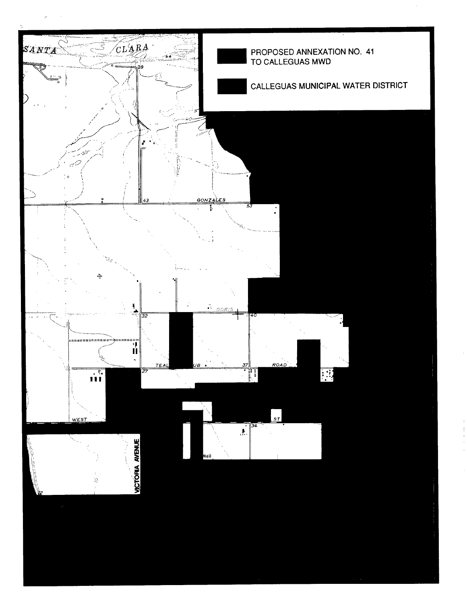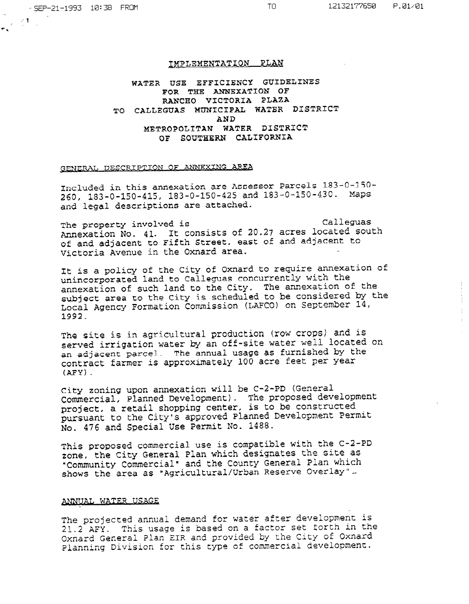#### IMPLEMENTATION PLAN

WATER USE EFFICIENCY GUIDELINES FOR THE ANNEXATION OF RANCH0 VICTORIA PLAZA TO CALLEGUAS MUNICIPAL WATER DISTRICT AND METROPOLITAN WATER DISTRICT OF SOUTHERN CALIFORNIA

## GENERAL DESCRIPTION OF ANNEXING AREA

Included in this annexation are Assessor Parcels 183-O-150- 260, 183-O-150-415, 183-O-150-425 and 183-O-150-430. Maps and legal descriptions are attached.

The property involved is example to calleguas Annexation No. 41. It consists of 20.27 acres located south of and adjacent to Fifth Street, east of and adjacent to Victoria Avenue in the Oxnard area. .\_

It is a policy of the City of Oxnard to require annexation of unincorporated land to Calleguas concurrently with the annexation of such land to the City. The annexation of the subject area to the City is scheduled to be considered by the Local Agency Formation Commission (LAX01 on September 14, 1962<br>1992

The site is in agricultural production (row crops) and is served is in agricultured production was experient and served irrigation water by an OII-Site water weil located an adjacent parcel. The annual usage as furnished by  $\sim$ 

City zoning upon annexation will be C-2-PD (General City zoning upon annexation will be C-2-PD (General Commercial, Planned Development). The proposed devel project, a retail shopping center, is to be constructed pursuant to the City's approved Planned Development Permit<br>No. 476 and Special Use Permit No. 1488.

 $T$  this proposed compatible with the C-2-PD  $\sim$ This proposed commercial use is compatible with the C-2zone, the City General Plan which designates the site as "Community Commercial" and the County General Plan which<br>shows the area as "Agricultural/Urban Reserve Overlay".

#### ANNUAL WATER USAGE

The projected annual demand for water after development is  $21.2$  AFY. This usage is based on a factor set forth in the Oxnard General Plan EIR and provided by the City of Oxnard<br>Planning Division for this type of commercial development.

The projected annual demand for water after development is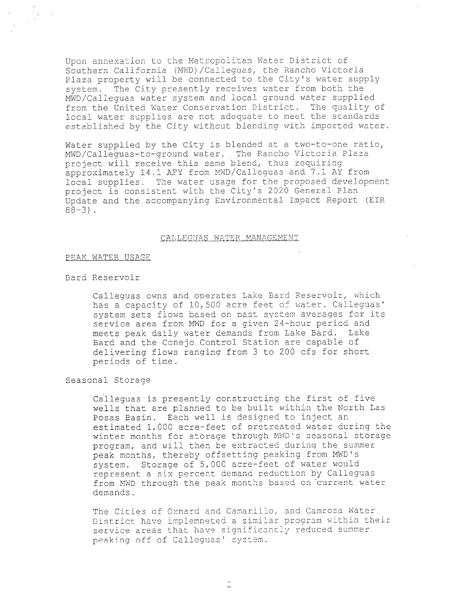Upon annexation to the Metropolitan Water District of Southern California (MWD)/Calleguas, the Rancho Victoria Plaza property will be connected to the City's water supply system. The City presently receives water from both the MWD/Calleguas water system-and local ground water supplied from the United Water Conservation District. The quality of local water supplies are not adequate to meet the standards established by the City without blendinq with imported water.

Water supplied by the City is blended at a two-to-one ratio, MWD/Calleguas-to-ground water. The Rancho Victoria Plaza project will receive this same blend, thus requiring approximately 14.1 AFY from MWD/Calleguas and  $7.1$  AY from local supplies. The water usage for the proposed development project is consistent with the City's 2020 General Plan Update and the accompanying Environmental Impact Report (EIR 88-3).

### CALLEGUAS WATER MANAGEMENT

#### PEAK WATER USAGE

#### Bard Reservoir

Calleguas owns and operates Lake Bard Reservoir, which Calieguas owns and operates hake bard Reservoir, whi has a capacity of 10,500 acre feet of water. Calleguas' system sets flows based on past system averages for its service area from MWD for a given 24-hour period and meets peak daily water demands from Lake Bard. Lake Bard and the Conejo Control Station are capable of delivering flows ranging from 3 to 200 cfs for short<br>periods of time.

Calleguas is presently constructing the first of five

Calleguas is presently constructing the first of five wells that are planned to be built within the North Las Posas Basin. Each well is designed to inject an estimated 1,000 acre-feet of pretreated water during the winter months for storage through MWD's seasonal storage program, and will then be extracted during the summer peak months, thereby offsetting peaking from MWD's system. Storage of 5,000 acre-feet of water would represent a six percent demand reduction by Callequas from MWD through the peak months based on current water demands.

The Cities of Oxnard and Camarillo, and Camrosa Water District have implemneted a similar program within their service areas that have significantly reduced summer peaking off of Calleguas' system.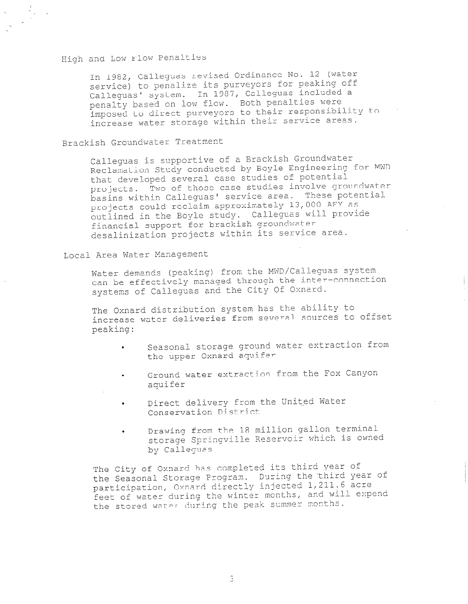## High and Low Flow Penalties

 $\frac{1}{2}$ 

In 1982, Calleguas revised Ordinance No. 12 (water service) to penalize its purveyors for peaking off Calleguas' system. In 1987, Calleguas included a penalty based on low flow. Both penalties were imposed to direct purveyors to their responsibility to increase water storage within their service areas.

Brackish Groundwater Treatment

Calleguas is supportive of a Brackish Groundwater Reclamation Study conducted by Boyle Engineering for MWD that developed several case studies of potential projects. Two of those case studies involve groundwater basins within Calleguas' service area. These potential projects could reclaim approximately 13,000 AFY as outlined in the Boyle study. Calleguas will provide financial support for brackish groundwater desalinization projects within its service area.

Local Area Water Management

Water demands (peaking) from the MWD/Calleguas system can be effectively managed through the inter-connection systems of Callequas and the City Of Oxnard.

The Oxnard distribution system has the ability to increase water deliveries from several sources to offset peaking:

- . Seasonal storage ground water extraction from the upper Oxnard aquifer
- . Ground water extraction from the Fox Canyon aquifer
- Direct delivery from the United Water Conservation District
- . Drawing from the 18 million gallon terminal storage Springville Reservoir which is owned by Callegues

The City of Oxnard has completed its third year of the Seasonal Storage Program. During the third year of participation, Oxnard directly injected 1,211.6 acre feet of water during the winter months, and will expend the stored water during the peak summer months.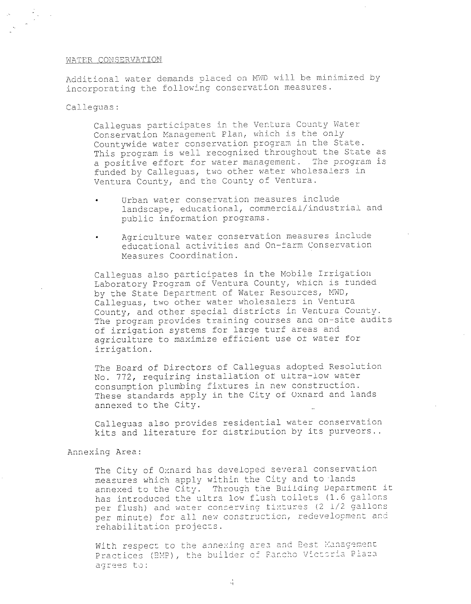#### WATER CONSERVATION

Additional water demands placed on MWD will be minimized by incorporating the following conservation measures.

Calleguas:

 $\frac{1}{2}$  ,  $\frac{1}{2}$  ,  $\frac{1}{2}$ 

Calleguas participates in the Ventura County Water Conservation Management Plan, which is the only Countywide water conservation program in the State. This program is well recognized throughout the State as a positive effort for water management. The program is funded by Calleguas, two other water wholesalers in Ventura County, and the County of Ventura.

- Urban water conservation measures include landscape, educational, commercial/industrial and public information programs.
	- . Agriculture water conservation measures include educational activities and On-farm Conservation Measures Coordination.

Calleguas also participates in the Mobile Irrigation Laboratory Program of Ventura County, which is funded by the State Department of Water Resources, MWD, Calleguas, two other water wholesalers in Ventura County, and other special districts in Ventura County. The program provides training courses and on-site audits of irrigation systems for large turf areas and agriculture to maximize efficient use of water for agriculture to maximize efficient use of water for<br>irrigation.

The Board of Directors of Calleguas adopted Resolution The Board of Directors of Calleguas adopted Resort No. 772, requiring installation of ultra-low water<br>consumption plumbing fixtures in new construction. consumption plumbing lixedies in hew construction. These standards apply in the City of Oxnal

Calleguas also p,,ti ynT-ides residential water conservation Calleguas also provides residential water conservat

The City of Oxnard has developed several conserv measures which apply within the City and to lands annexed to the City. Through the Building Department it has introduced the ultra low flush toilets (1.6 gallons per flush) and water conserving fixtures (2 1/2 gallons per minute) for all new construction, redevelopment and rehabilitation projects.

With respect to the annexing area and Best Management Practices (BMP), the builder of Rancho Victoria Plaza agrees to: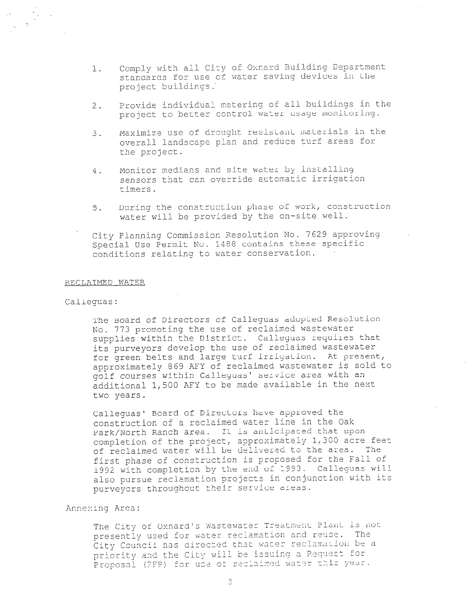- 1. Comply with all City of Oxnard Building Department standards for use of water saving devices in the project buildings.'
- 2. Provide individual metering of all buildings in the project to better control water usage monitoring.
- 3. Maximize use of drought resistant materials in the overall landscape plan and reduce turf areas for the project.
- 4. Monitor medians and site water by installing sensors that can override automatic irrigation timers.
- 5. During the construction phase 02 work, construction water will be provided by the on-site well.
- City Planning Commission Resolution No. 7629 approving Special Use Permit No. 1488 contains these specific conditions relating to water conservation.

#### RECLAIMED WATER

### Calleguas:

The Board of D irectors cf Calleguas adopted Resolut ion The Board of Directors of Calleguas adopted was No. 773 promoting the use of reclaimed wastewater supplies within the District. Calleguas requires that its purveyors develop the use of reclaimed wastewater for green belts and large turf irrigation. At present, approximately 869 AFY of reclaimed wastewater is sold to golf courses within Calleguas' service area with an additional 1,500 AFY to be made available in the next two years.

Calleguas' Board of Directors have approved the Calleguas' Board of Directors have approved the construction of a reclaimed water line in the Oak Park/North Ranch area. It is anticipated that upon completion of the project, approximately 1,300 acre feet of reclaimed water will be delivered to the area. The first phase of construction is proposed for the Fall of 1992 with completion by the end of 1993. Calleguas will also pursue reclamation projects in conjunction with its purveyors throughout their service areas.

#### Annexing Area:

The City of Oxnard's Wastewater Treatment Plant is not presently used for water reclamation and reuse. The City Council has directed that water reclamation be a priority and the City will be issuing a Request for Proposal (RFP) for use of reclaimed water this year.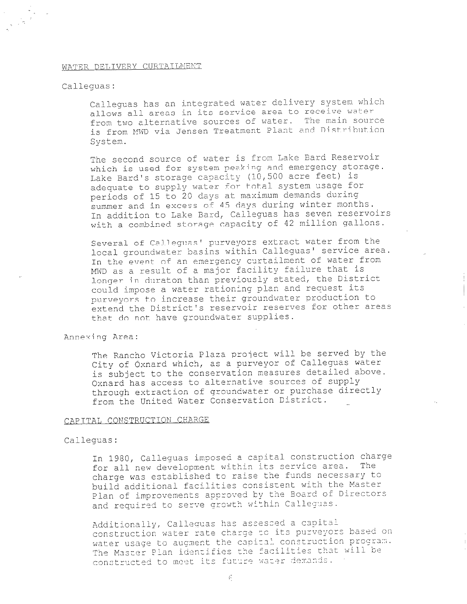#### WATER DELIVERY CURTAILMENT

### Callequas:

Calleguas has an integrated water delivery system which allows all areas in its service area to receive water from two alternative sources of water. The main source is from MUI) via Jensen Treatment Plant and Distribution System.

The second source of water is from Lake Eard Reservoir which is used for system peeking and emergency storage. Lake Bard's storage capacity (10,500 acre feet) is adequate to supply water for total system usage for periods of 15 to 20 days at maximum demands during summer and in excess of 45 days during winter months. In addition to Lake Bard, Calleguas has seven reservoirs with a combined storage capacity of 42 million gallons.

Several of Callequas' purveyors extract water from the local groundwater basins within Calleguas' service area. In the event of an emergency curtailment of water from MWD as a result of a major facility failure that is longer in duraton than previously stated, the District could impose a water rationing plan and request its purveyors to increase their groundwater production to extend the District 's reservoir reserves for other areas that do not have groundwater supplies.

#### Annexing Area:

The Rancho Victoria Plaza project will be served by the City of Oxnard which, as a purveyor of Callequas water is subject to the conservation measures detailed above. Oxnard has access to alternative sources of supply through extraction of groundwater or purchase directly from the United Water Conservation District.

#### CAPITAL CONSTRUCTION CHARGE

#### Calleguas:

In 1980, Calleguas imposed a capital construction charge for all new development within its service area. The charge was established to raise the funds necessary to build additional facilities consistent with the Master Plan of improvements approved by the Board of Directors and required to serve growth within Calleguas.

Additionally, Calleguas has assessed a capital construction water rate charge to its purveyors based on water usage to augment the capital construction program. The Master Plan identifies the facilities that will be constructed to meet its future water demands.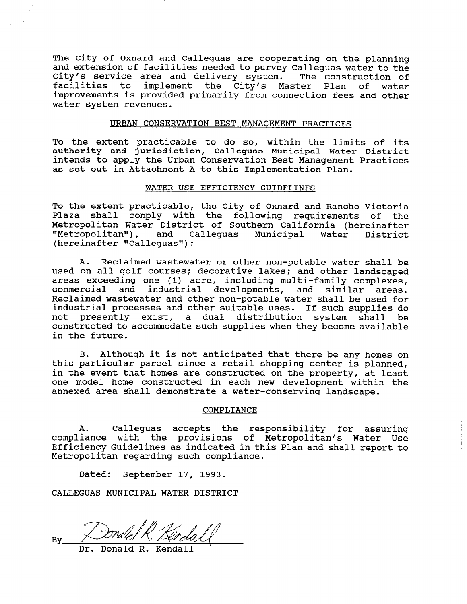The City of Oxnard and Calleguas are cooperating on the planning and extension of facilities needed to purvey Calleguas water to the City's service area and delivery system. The construction of facilities to implement the City's Master Plan of water improvements is provided primarily from connection fees and other water system revenues.

## URBAN CONSERVATION BEST MANAGEMENT PRACTICES

To the extent practicable to do so, within the limits of its authority and jurisdiction, Calleguas Municipal Water District intends to apply the Urban Conservation Best Management Practices as set out in Attachment A to this Implementation Plan.

### WATER USE EFFICIENCY GUIDELINES

To the extent practicable, the City of Oxnard and Rancho Victoria Plaza shall comply with the following requirements of the Metropolitan Water District of Southern California (hereinafter "Metropolitan"), and Calleguas Municipal Water District  $(hereinafter "Callequas");$ 

A. Reclaimed wastewater or other non-potable water shall be used on all golf courses; decorative lakes; and other landscaped areas exceeding one (1) acre, including multi-family complexes, commercial and industrial developments, and similar areas. Reclaimed wastewater and other non-potable water shall be used for industrial processes and other suitable uses. If such supplies do not presently exist, a dual distribution system shall be constructed to accommodate such supplies when they become available in the future.

B. Although it is not anticipated that there be any homes on this particular parcel since a retail shopping center is planned, in the event that homes are constructed on the property, at least one model home constructed in each new development within the annexed area shall demonstrate a water-conserving landscape.

#### COMPLIANCE

A. Calleguas accepts the responsibility for assuring compliance with the provisions of Metropolitan's Water Use Efficiency Guidelines as indicated in this Plan and shall report to Metropolitan regarding such compliance.

Dated: September 17, 1993.

CALLEGUAS MUNICIPAL WATER DISTRICT

 $B_{17}$ 

Donald  $R<sub>s</sub>$